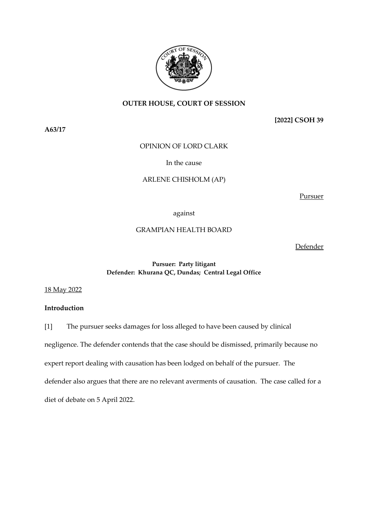

# **OUTER HOUSE, COURT OF SESSION**

**A63/17**

**[2022] CSOH 39**

OPINION OF LORD CLARK

# In the cause

# ARLENE CHISHOLM (AP)

Pursuer

## against

# GRAMPIAN HEALTH BOARD

Defender

## **Pursuer: Party litigant Defender: Khurana QC, Dundas; Central Legal Office**

18 May 2022

## **Introduction**

[1] The pursuer seeks damages for loss alleged to have been caused by clinical

negligence. The defender contends that the case should be dismissed, primarily because no

expert report dealing with causation has been lodged on behalf of the pursuer. The

defender also argues that there are no relevant averments of causation. The case called for a

diet of debate on 5 April 2022.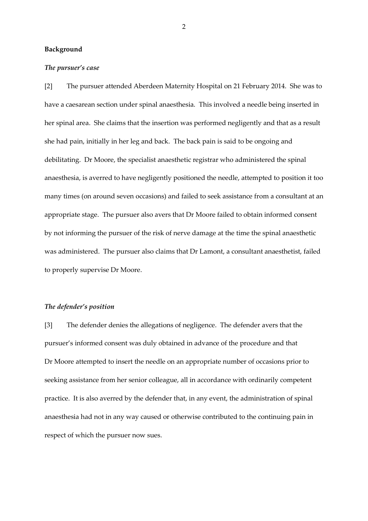## **Background**

#### *The pursuer's case*

[2] The pursuer attended Aberdeen Maternity Hospital on 21 February 2014. She was to have a caesarean section under spinal anaesthesia. This involved a needle being inserted in her spinal area. She claims that the insertion was performed negligently and that as a result she had pain, initially in her leg and back. The back pain is said to be ongoing and debilitating. Dr Moore, the specialist anaesthetic registrar who administered the spinal anaesthesia, is averred to have negligently positioned the needle, attempted to position it too many times (on around seven occasions) and failed to seek assistance from a consultant at an appropriate stage. The pursuer also avers that Dr Moore failed to obtain informed consent by not informing the pursuer of the risk of nerve damage at the time the spinal anaesthetic was administered. The pursuer also claims that Dr Lamont, a consultant anaesthetist, failed to properly supervise Dr Moore.

## *The defender's position*

[3] The defender denies the allegations of negligence. The defender avers that the pursuer's informed consent was duly obtained in advance of the procedure and that Dr Moore attempted to insert the needle on an appropriate number of occasions prior to seeking assistance from her senior colleague, all in accordance with ordinarily competent practice. It is also averred by the defender that, in any event, the administration of spinal anaesthesia had not in any way caused or otherwise contributed to the continuing pain in respect of which the pursuer now sues.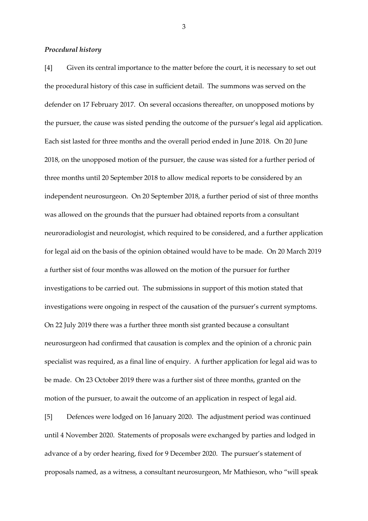#### *Procedural history*

[4] Given its central importance to the matter before the court, it is necessary to set out the procedural history of this case in sufficient detail. The summons was served on the defender on 17 February 2017. On several occasions thereafter, on unopposed motions by the pursuer, the cause was sisted pending the outcome of the pursuer's legal aid application. Each sist lasted for three months and the overall period ended in June 2018. On 20 June 2018, on the unopposed motion of the pursuer, the cause was sisted for a further period of three months until 20 September 2018 to allow medical reports to be considered by an independent neurosurgeon. On 20 September 2018, a further period of sist of three months was allowed on the grounds that the pursuer had obtained reports from a consultant neuroradiologist and neurologist, which required to be considered, and a further application for legal aid on the basis of the opinion obtained would have to be made. On 20 March 2019 a further sist of four months was allowed on the motion of the pursuer for further investigations to be carried out. The submissions in support of this motion stated that investigations were ongoing in respect of the causation of the pursuer's current symptoms. On 22 July 2019 there was a further three month sist granted because a consultant neurosurgeon had confirmed that causation is complex and the opinion of a chronic pain specialist was required, as a final line of enquiry. A further application for legal aid was to be made. On 23 October 2019 there was a further sist of three months, granted on the motion of the pursuer, to await the outcome of an application in respect of legal aid.

[5] Defences were lodged on 16 January 2020. The adjustment period was continued until 4 November 2020. Statements of proposals were exchanged by parties and lodged in advance of a by order hearing, fixed for 9 December 2020. The pursuer's statement of proposals named, as a witness, a consultant neurosurgeon, Mr Mathieson, who "will speak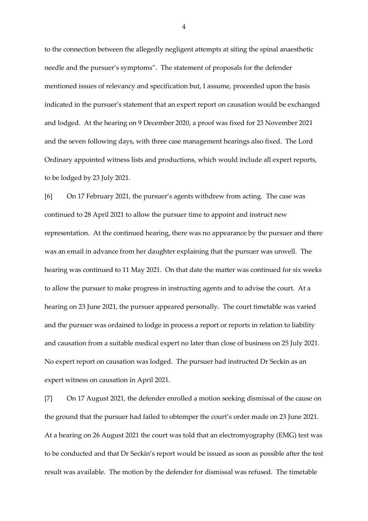to the connection between the allegedly negligent attempts at siting the spinal anaesthetic needle and the pursuer's symptoms". The statement of proposals for the defender mentioned issues of relevancy and specification but, I assume, proceeded upon the basis indicated in the pursuer's statement that an expert report on causation would be exchanged and lodged. At the hearing on 9 December 2020, a proof was fixed for 23 November 2021 and the seven following days, with three case management hearings also fixed. The Lord Ordinary appointed witness lists and productions, which would include all expert reports, to be lodged by 23 July 2021.

[6] On 17 February 2021, the pursuer's agents withdrew from acting. The case was continued to 28 April 2021 to allow the pursuer time to appoint and instruct new representation. At the continued hearing, there was no appearance by the pursuer and there was an email in advance from her daughter explaining that the pursuer was unwell. The hearing was continued to 11 May 2021. On that date the matter was continued for six weeks to allow the pursuer to make progress in instructing agents and to advise the court. At a hearing on 23 June 2021, the pursuer appeared personally. The court timetable was varied and the pursuer was ordained to lodge in process a report or reports in relation to liability and causation from a suitable medical expert no later than close of business on 25 July 2021. No expert report on causation was lodged. The pursuer had instructed Dr Seckin as an expert witness on causation in April 2021.

[7] On 17 August 2021, the defender enrolled a motion seeking dismissal of the cause on the ground that the pursuer had failed to obtemper the court's order made on 23 June 2021. At a hearing on 26 August 2021 the court was told that an electromyography (EMG) test was to be conducted and that Dr Seckin's report would be issued as soon as possible after the test result was available. The motion by the defender for dismissal was refused. The timetable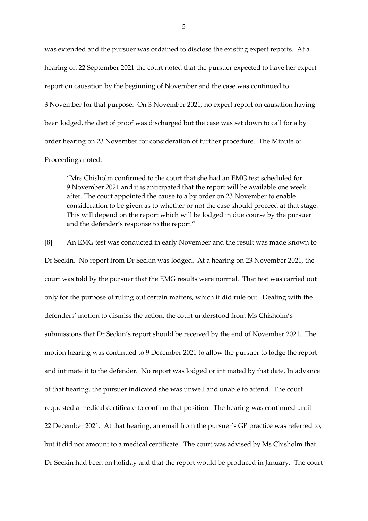was extended and the pursuer was ordained to disclose the existing expert reports. At a hearing on 22 September 2021 the court noted that the pursuer expected to have her expert report on causation by the beginning of November and the case was continued to 3 November for that purpose. On 3 November 2021, no expert report on causation having been lodged, the diet of proof was discharged but the case was set down to call for a by order hearing on 23 November for consideration of further procedure. The Minute of Proceedings noted:

"Mrs Chisholm confirmed to the court that she had an EMG test scheduled for 9 November 2021 and it is anticipated that the report will be available one week after. The court appointed the cause to a by order on 23 November to enable consideration to be given as to whether or not the case should proceed at that stage. This will depend on the report which will be lodged in due course by the pursuer and the defender's response to the report."

[8] An EMG test was conducted in early November and the result was made known to Dr Seckin. No report from Dr Seckin was lodged. At a hearing on 23 November 2021, the court was told by the pursuer that the EMG results were normal. That test was carried out only for the purpose of ruling out certain matters, which it did rule out. Dealing with the defenders' motion to dismiss the action, the court understood from Ms Chisholm's submissions that Dr Seckin's report should be received by the end of November 2021. The motion hearing was continued to 9 December 2021 to allow the pursuer to lodge the report and intimate it to the defender. No report was lodged or intimated by that date. In advance of that hearing, the pursuer indicated she was unwell and unable to attend. The court requested a medical certificate to confirm that position. The hearing was continued until 22 December 2021. At that hearing, an email from the pursuer's GP practice was referred to, but it did not amount to a medical certificate. The court was advised by Ms Chisholm that Dr Seckin had been on holiday and that the report would be produced in January. The court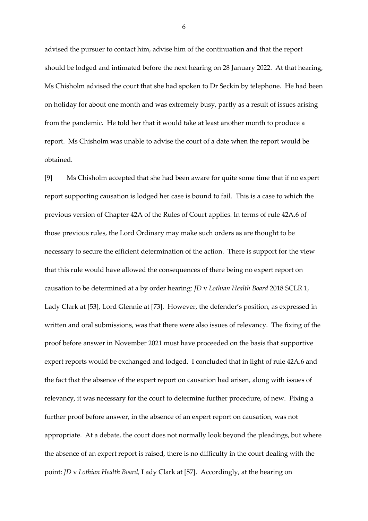advised the pursuer to contact him, advise him of the continuation and that the report should be lodged and intimated before the next hearing on 28 January 2022. At that hearing, Ms Chisholm advised the court that she had spoken to Dr Seckin by telephone. He had been on holiday for about one month and was extremely busy, partly as a result of issues arising from the pandemic. He told her that it would take at least another month to produce a report. Ms Chisholm was unable to advise the court of a date when the report would be obtained.

[9] Ms Chisholm accepted that she had been aware for quite some time that if no expert report supporting causation is lodged her case is bound to fail. This is a case to which the previous version of Chapter 42A of the Rules of Court applies. In terms of rule 42A.6 of those previous rules, the Lord Ordinary may make such orders as are thought to be necessary to secure the efficient determination of the action. There is support for the view that this rule would have allowed the consequences of there being no expert report on causation to be determined at a by order hearing: *JD* v *Lothian Health Board* 2018 SCLR 1, Lady Clark at [53], Lord Glennie at [73]. However, the defender's position, as expressed in written and oral submissions, was that there were also issues of relevancy. The fixing of the proof before answer in November 2021 must have proceeded on the basis that supportive expert reports would be exchanged and lodged. I concluded that in light of rule 42A.6 and the fact that the absence of the expert report on causation had arisen, along with issues of relevancy, it was necessary for the court to determine further procedure, of new. Fixing a further proof before answer, in the absence of an expert report on causation, was not appropriate. At a debate, the court does not normally look beyond the pleadings, but where the absence of an expert report is raised, there is no difficulty in the court dealing with the point: *JD* v *Lothian Health Board,* Lady Clark at [57]. Accordingly, at the hearing on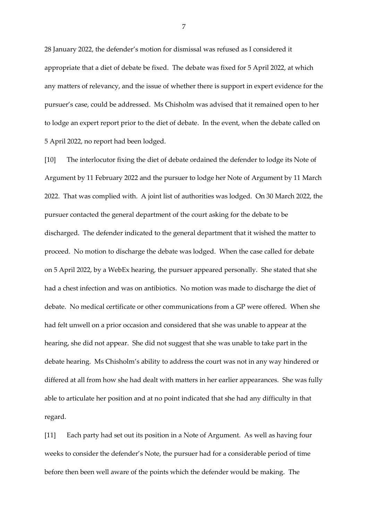28 January 2022, the defender's motion for dismissal was refused as I considered it appropriate that a diet of debate be fixed. The debate was fixed for 5 April 2022, at which any matters of relevancy, and the issue of whether there is support in expert evidence for the pursuer's case, could be addressed. Ms Chisholm was advised that it remained open to her to lodge an expert report prior to the diet of debate. In the event, when the debate called on 5 April 2022, no report had been lodged.

[10] The interlocutor fixing the diet of debate ordained the defender to lodge its Note of Argument by 11 February 2022 and the pursuer to lodge her Note of Argument by 11 March 2022. That was complied with. A joint list of authorities was lodged. On 30 March 2022, the pursuer contacted the general department of the court asking for the debate to be discharged. The defender indicated to the general department that it wished the matter to proceed. No motion to discharge the debate was lodged. When the case called for debate on 5 April 2022, by a WebEx hearing, the pursuer appeared personally. She stated that she had a chest infection and was on antibiotics. No motion was made to discharge the diet of debate. No medical certificate or other communications from a GP were offered. When she had felt unwell on a prior occasion and considered that she was unable to appear at the hearing, she did not appear. She did not suggest that she was unable to take part in the debate hearing. Ms Chisholm's ability to address the court was not in any way hindered or differed at all from how she had dealt with matters in her earlier appearances. She was fully able to articulate her position and at no point indicated that she had any difficulty in that regard.

[11] Each party had set out its position in a Note of Argument. As well as having four weeks to consider the defender's Note, the pursuer had for a considerable period of time before then been well aware of the points which the defender would be making. The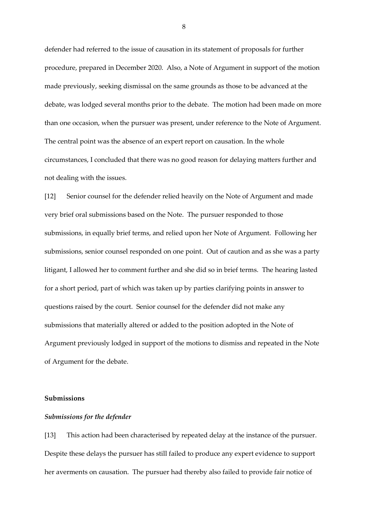defender had referred to the issue of causation in its statement of proposals for further procedure, prepared in December 2020. Also, a Note of Argument in support of the motion made previously, seeking dismissal on the same grounds as those to be advanced at the debate, was lodged several months prior to the debate. The motion had been made on more than one occasion, when the pursuer was present, under reference to the Note of Argument. The central point was the absence of an expert report on causation. In the whole circumstances, I concluded that there was no good reason for delaying matters further and not dealing with the issues.

[12] Senior counsel for the defender relied heavily on the Note of Argument and made very brief oral submissions based on the Note. The pursuer responded to those submissions, in equally brief terms, and relied upon her Note of Argument. Following her submissions, senior counsel responded on one point. Out of caution and as she was a party litigant, I allowed her to comment further and she did so in brief terms. The hearing lasted for a short period, part of which was taken up by parties clarifying points in answer to questions raised by the court. Senior counsel for the defender did not make any submissions that materially altered or added to the position adopted in the Note of Argument previously lodged in support of the motions to dismiss and repeated in the Note of Argument for the debate.

## **Submissions**

## *Submissions for the defender*

[13] This action had been characterised by repeated delay at the instance of the pursuer. Despite these delays the pursuer has still failed to produce any expert evidence to support her averments on causation. The pursuer had thereby also failed to provide fair notice of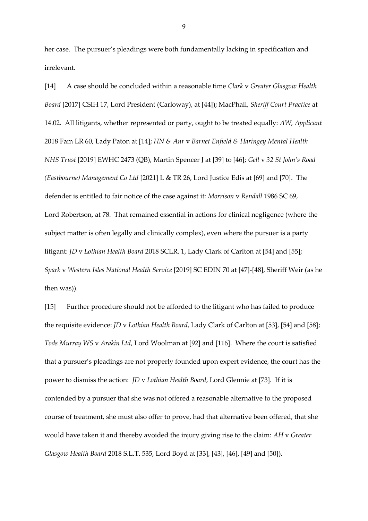her case. The pursuer's pleadings were both fundamentally lacking in specification and irrelevant.

[14] A case should be concluded within a reasonable time *Clark* v *Greater Glasgow Health Board* [2017] CSIH 17, Lord President (Carloway), at [44]); MacPhail, *Sheriff Court Practice* at 14.02. All litigants, whether represented or party, ought to be treated equally: *AW, Applicant* 2018 Fam LR 60, Lady Paton at [14]; *HN & Anr* v *Barnet Enfield & Haringey Mental Health NHS Trust* [2019] EWHC 2473 (QB), Martin Spencer J at [39] to [46]; *Gell* v *32 St John's Road (Eastbourne) Management Co Ltd* [2021] L & TR 26, Lord Justice Edis at [69] and [70]. The defender is entitled to fair notice of the case against it: *Morrison* v *Rendall* 1986 SC 69, Lord Robertson, at 78. That remained essential in actions for clinical negligence (where the subject matter is often legally and clinically complex), even where the pursuer is a party litigant: *JD* v *Lothian Health Board* 2018 SCLR. 1, Lady Clark of Carlton at [54] and [55]; *Spark* v *Western Isles National Health Service* [2019] SC EDIN 70 at [47]-[48], Sheriff Weir (as he then was)).

[15] Further procedure should not be afforded to the litigant who has failed to produce the requisite evidence: *JD* v *Lothian Health Board*, Lady Clark of Carlton at [53], [54] and [58]; *Tods Murray WS* v *Arakin Ltd*, Lord Woolman at [92] and [116]. Where the court is satisfied that a pursuer's pleadings are not properly founded upon expert evidence, the court has the power to dismiss the action: *JD* v *Lothian Health Board*, Lord Glennie at [73]. If it is contended by a pursuer that she was not offered a reasonable alternative to the proposed course of treatment, she must also offer to prove, had that alternative been offered, that she would have taken it and thereby avoided the injury giving rise to the claim: *AH* v *Greater Glasgow Health Board* 2018 S.L.T. 535, Lord Boyd at [33], [43], [46], [49] and [50]).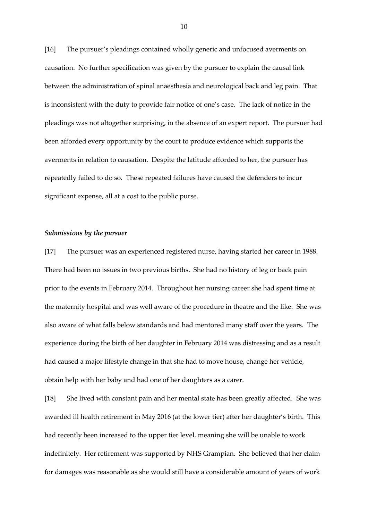[16] The pursuer's pleadings contained wholly generic and unfocused averments on causation. No further specification was given by the pursuer to explain the causal link between the administration of spinal anaesthesia and neurological back and leg pain. That is inconsistent with the duty to provide fair notice of one's case. The lack of notice in the pleadings was not altogether surprising, in the absence of an expert report. The pursuer had been afforded every opportunity by the court to produce evidence which supports the averments in relation to causation. Despite the latitude afforded to her, the pursuer has repeatedly failed to do so. These repeated failures have caused the defenders to incur significant expense, all at a cost to the public purse.

## *Submissions by the pursuer*

[17] The pursuer was an experienced registered nurse, having started her career in 1988. There had been no issues in two previous births. She had no history of leg or back pain prior to the events in February 2014. Throughout her nursing career she had spent time at the maternity hospital and was well aware of the procedure in theatre and the like. She was also aware of what falls below standards and had mentored many staff over the years. The experience during the birth of her daughter in February 2014 was distressing and as a result had caused a major lifestyle change in that she had to move house, change her vehicle, obtain help with her baby and had one of her daughters as a carer.

[18] She lived with constant pain and her mental state has been greatly affected. She was awarded ill health retirement in May 2016 (at the lower tier) after her daughter's birth. This had recently been increased to the upper tier level, meaning she will be unable to work indefinitely. Her retirement was supported by NHS Grampian. She believed that her claim for damages was reasonable as she would still have a considerable amount of years of work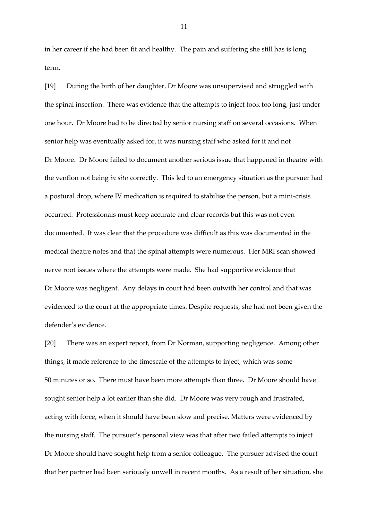in her career if she had been fit and healthy. The pain and suffering she still has is long term.

[19] During the birth of her daughter, Dr Moore was unsupervised and struggled with the spinal insertion. There was evidence that the attempts to inject took too long, just under one hour. Dr Moore had to be directed by senior nursing staff on several occasions. When senior help was eventually asked for, it was nursing staff who asked for it and not Dr Moore. Dr Moore failed to document another serious issue that happened in theatre with the venflon not being *in situ* correctly. This led to an emergency situation as the pursuer had a postural drop, where IV medication is required to stabilise the person, but a mini-crisis occurred. Professionals must keep accurate and clear records but this was not even documented. It was clear that the procedure was difficult as this was documented in the medical theatre notes and that the spinal attempts were numerous. Her MRI scan showed nerve root issues where the attempts were made. She had supportive evidence that Dr Moore was negligent. Any delays in court had been outwith her control and that was evidenced to the court at the appropriate times. Despite requests, she had not been given the defender's evidence.

[20] There was an expert report, from Dr Norman, supporting negligence. Among other things, it made reference to the timescale of the attempts to inject, which was some 50 minutes or so. There must have been more attempts than three. Dr Moore should have sought senior help a lot earlier than she did. Dr Moore was very rough and frustrated, acting with force, when it should have been slow and precise. Matters were evidenced by the nursing staff. The pursuer's personal view was that after two failed attempts to inject Dr Moore should have sought help from a senior colleague. The pursuer advised the court that her partner had been seriously unwell in recent months. As a result of her situation, she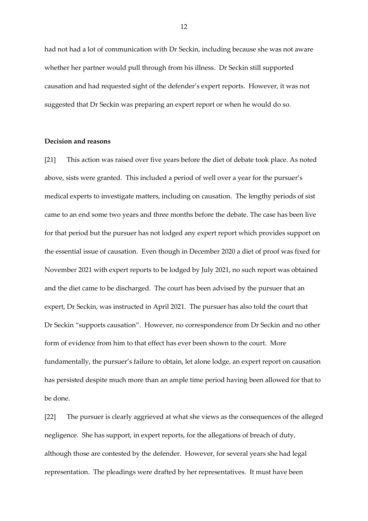had not had a lot of communication with Dr Seckin, including because she was not aware whether her partner would pull through from his illness. Dr Seckin still supported causation and had requested sight of the defender's expert reports. However, it was not suggested that Dr Seckin was preparing an expert report or when he would do so.

## **Decision and reasons**

[21] This action was raised over five years before the diet of debate took place. As noted above, sists were granted. This included a period of well over a year for the pursuer's medical experts to investigate matters, including on causation. The lengthy periods of sist came to an end some two years and three months before the debate. The case has been live for that period but the pursuer has not lodged any expert report which provides support on the essential issue of causation. Even though in December 2020 a diet of proof was fixed for November 2021 with expert reports to be lodged by July 2021, no such report was obtained and the diet came to be discharged. The court has been advised by the pursuer that an expert, Dr Seckin, was instructed in April 2021. The pursuer has also told the court that Dr Seckin "supports causation". However, no correspondence from Dr Seckin and no other form of evidence from him to that effect has ever been shown to the court. More fundamentally, the pursuer's failure to obtain, let alone lodge, an expert report on causation has persisted despite much more than an ample time period having been allowed for that to be done.

[22] The pursuer is clearly aggrieved at what she views as the consequences of the alleged negligence. She has support, in expert reports, for the allegations of breach of duty, although those are contested by the defender. However, for several years she had legal representation. The pleadings were drafted by her representatives. It must have been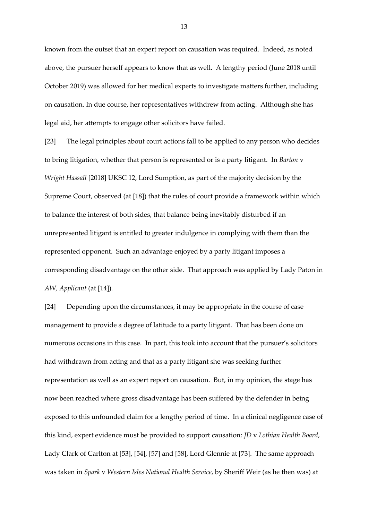known from the outset that an expert report on causation was required. Indeed, as noted above, the pursuer herself appears to know that as well. A lengthy period (June 2018 until October 2019) was allowed for her medical experts to investigate matters further, including on causation. In due course, her representatives withdrew from acting. Although she has legal aid, her attempts to engage other solicitors have failed.

[23] The legal principles about court actions fall to be applied to any person who decides to bring litigation, whether that person is represented or is a party litigant. In *Barton* v *Wright Hassall* [2018] UKSC 12, Lord Sumption, as part of the majority decision by the Supreme Court, observed (at [18]) that the rules of court provide a framework within which to balance the interest of both sides, that balance being inevitably disturbed if an unrepresented litigant is entitled to greater indulgence in complying with them than the represented opponent. Such an advantage enjoyed by a party litigant imposes a corresponding disadvantage on the other side. That approach was applied by Lady Paton in *AW, Applicant* (at [14])*.* 

[24] Depending upon the circumstances, it may be appropriate in the course of case management to provide a degree of latitude to a party litigant. That has been done on numerous occasions in this case. In part, this took into account that the pursuer's solicitors had withdrawn from acting and that as a party litigant she was seeking further representation as well as an expert report on causation. But, in my opinion, the stage has now been reached where gross disadvantage has been suffered by the defender in being exposed to this unfounded claim for a lengthy period of time. In a clinical negligence case of this kind, expert evidence must be provided to support causation: *JD* v *Lothian Health Board*, Lady Clark of Carlton at [53], [54], [57] and [58], Lord Glennie at [73]. The same approach was taken in *Spark* v *Western Isles National Health Service*, by Sheriff Weir (as he then was) at